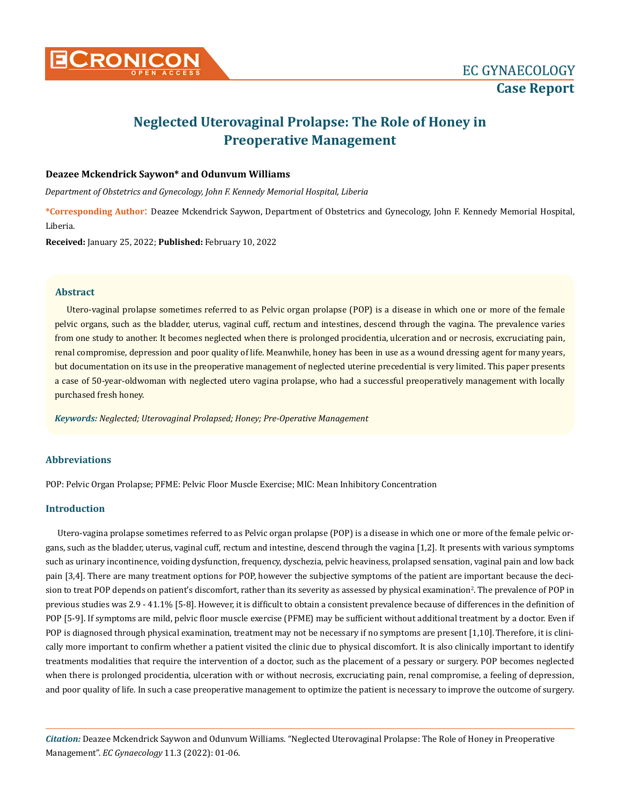

# **Neglected Uterovaginal Prolapse: The Role of Honey in Preoperative Management**

# **Deazee Mckendrick Saywon\* and Odunvum Williams**

*Department of Obstetrics and Gynecology, John F. Kennedy Memorial Hospital, Liberia* 

**\*Corresponding Author**: Deazee Mckendrick Saywon, Department of Obstetrics and Gynecology, John F. Kennedy Memorial Hospital, Liberia.

**Received:** January 25, 2022; **Published:** February 10, 2022

#### **Abstract**

Utero-vaginal prolapse sometimes referred to as Pelvic organ prolapse (POP) is a disease in which one or more of the female pelvic organs, such as the bladder, uterus, vaginal cuff, rectum and intestines, descend through the vagina. The prevalence varies from one study to another. It becomes neglected when there is prolonged procidentia, ulceration and or necrosis, excruciating pain, renal compromise, depression and poor quality of life. Meanwhile, honey has been in use as a wound dressing agent for many years, but documentation on its use in the preoperative management of neglected uterine precedential is very limited. This paper presents a case of 50-year-oldwoman with neglected utero vagina prolapse, who had a successful preoperatively management with locally purchased fresh honey.

*Keywords: Neglected; Uterovaginal Prolapsed; Honey; Pre-Operative Management*

## **Abbreviations**

POP: Pelvic Organ Prolapse; PFME: Pelvic Floor Muscle Exercise; MIC: Mean Inhibitory Concentration

#### **Introduction**

Utero-vagina prolapse sometimes referred to as Pelvic organ prolapse (POP) is a disease in which one or more of the female pelvic organs, such as the bladder, uterus, vaginal cuff, rectum and intestine, descend through the vagina [1,2]. It presents with various symptoms such as urinary incontinence, voiding dysfunction, frequency, dyschezia, pelvic heaviness, prolapsed sensation, vaginal pain and low back pain [3,4]. There are many treatment options for POP, however the subjective symptoms of the patient are important because the decision to treat POP depends on patient's discomfort, rather than its severity as assessed by physical examination<sup>2</sup>. The prevalence of POP in previous studies was 2.9 - 41.1% [5-8]. However, it is difficult to obtain a consistent prevalence because of differences in the definition of POP [5-9]. If symptoms are mild, pelvic floor muscle exercise (PFME) may be sufficient without additional treatment by a doctor. Even if POP is diagnosed through physical examination, treatment may not be necessary if no symptoms are present [1,10]. Therefore, it is clinically more important to confirm whether a patient visited the clinic due to physical discomfort. It is also clinically important to identify treatments modalities that require the intervention of a doctor, such as the placement of a pessary or surgery. POP becomes neglected when there is prolonged procidentia, ulceration with or without necrosis, excruciating pain, renal compromise, a feeling of depression, and poor quality of life. In such a case preoperative management to optimize the patient is necessary to improve the outcome of surgery.

*Citation:* Deazee Mckendrick Saywon and Odunvum Williams. "Neglected Uterovaginal Prolapse: The Role of Honey in Preoperative Management". *EC Gynaecology* 11.3 (2022): 01-06.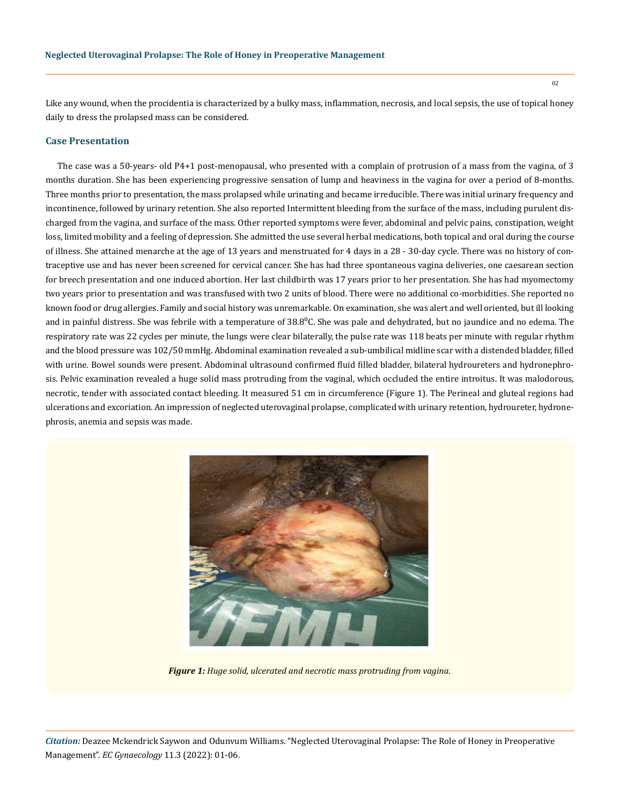Like any wound, when the procidentia is characterized by a bulky mass, inflammation, necrosis, and local sepsis, the use of topical honey daily to dress the prolapsed mass can be considered.

## **Case Presentation**

The case was a 50-years- old P4+1 post-menopausal, who presented with a complain of protrusion of a mass from the vagina, of 3 months duration. She has been experiencing progressive sensation of lump and heaviness in the vagina for over a period of 8-months. Three months prior to presentation, the mass prolapsed while urinating and became irreducible. There was initial urinary frequency and incontinence, followed by urinary retention. She also reported Intermittent bleeding from the surface of the mass, including purulent discharged from the vagina, and surface of the mass. Other reported symptoms were fever, abdominal and pelvic pains, constipation, weight loss, limited mobility and a feeling of depression. She admitted the use several herbal medications, both topical and oral during the course of illness. She attained menarche at the age of 13 years and menstruated for 4 days in a 28 - 30-day cycle. There was no history of contraceptive use and has never been screened for cervical cancer. She has had three spontaneous vagina deliveries, one caesarean section for breech presentation and one induced abortion. Her last childbirth was 17 years prior to her presentation. She has had myomectomy two years prior to presentation and was transfused with two 2 units of blood. There were no additional co-morbidities. She reported no known food or drug allergies. Family and social history was unremarkable. On examination, she was alert and well oriented, but ill looking and in painful distress. She was febrile with a temperature of  $38.8^{\circ}$ C. She was pale and dehydrated, but no jaundice and no edema. The respiratory rate was 22 cycles per minute, the lungs were clear bilaterally, the pulse rate was 118 beats per minute with regular rhythm and the blood pressure was 102/50 mmHg. Abdominal examination revealed a sub-umbilical midline scar with a distended bladder, filled with urine. Bowel sounds were present. Abdominal ultrasound confirmed fluid filled bladder, bilateral hydroureters and hydronephrosis. Pelvic examination revealed a huge solid mass protruding from the vaginal, which occluded the entire introitus. It was malodorous, necrotic, tender with associated contact bleeding. It measured 51 cm in circumference (Figure 1). The Perineal and gluteal regions had ulcerations and excoriation. An impression of neglected uterovaginal prolapse, complicated with urinary retention, hydroureter, hydronephrosis, anemia and sepsis was made.



*Figure 1: Huge solid, ulcerated and necrotic mass protruding from vagina.*

*Citation:* Deazee Mckendrick Saywon and Odunvum Williams. "Neglected Uterovaginal Prolapse: The Role of Honey in Preoperative Management". *EC Gynaecology* 11.3 (2022): 01-06.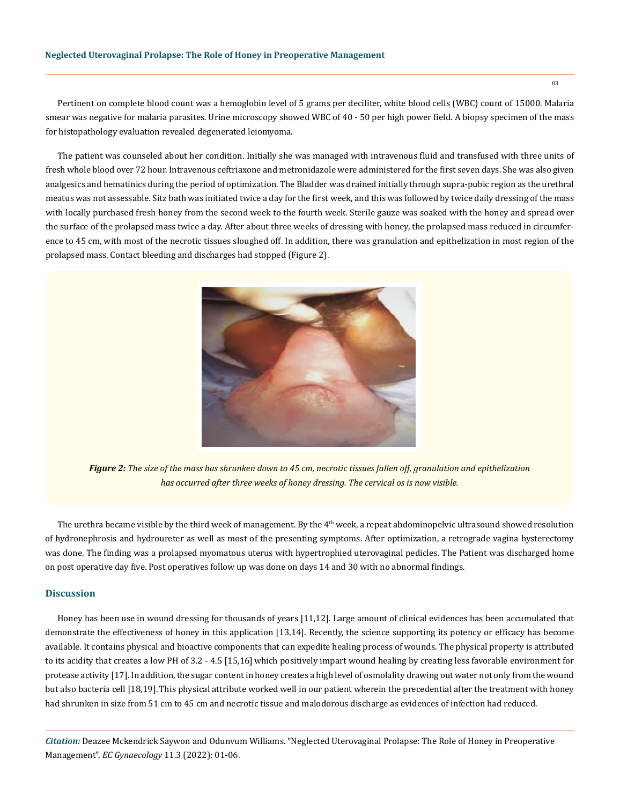Pertinent on complete blood count was a hemoglobin level of 5 grams per deciliter, white blood cells (WBC) count of 15000. Malaria smear was negative for malaria parasites. Urine microscopy showed WBC of 40 - 50 per high power field. A biopsy specimen of the mass for histopathology evaluation revealed degenerated leiomyoma.

The patient was counseled about her condition. Initially she was managed with intravenous fluid and transfused with three units of fresh whole blood over 72 hour. Intravenous ceftriaxone and metronidazole were administered for the first seven days. She was also given analgesics and hematinics during the period of optimization. The Bladder was drained initially through supra-pubic region as the urethral meatus was not assessable. Sitz bath was initiated twice a day for the first week, and this was followed by twice daily dressing of the mass with locally purchased fresh honey from the second week to the fourth week. Sterile gauze was soaked with the honey and spread over the surface of the prolapsed mass twice a day. After about three weeks of dressing with honey, the prolapsed mass reduced in circumference to 45 cm, with most of the necrotic tissues sloughed off. In addition, there was granulation and epithelization in most region of the prolapsed mass. Contact bleeding and discharges had stopped (Figure 2).



*Figure 2: The size of the mass has shrunken down to 45 cm, necrotic tissues fallen off, granulation and epithelization has occurred after three weeks of honey dressing. The cervical os is now visible.*

The urethra became visible by the third week of management. By the  $4<sup>th</sup>$  week, a repeat abdominopelvic ultrasound showed resolution of hydronephrosis and hydroureter as well as most of the presenting symptoms. After optimization, a retrograde vagina hysterectomy was done. The finding was a prolapsed myomatous uterus with hypertrophied uterovaginal pedicles. The Patient was discharged home on post operative day five. Post operatives follow up was done on days 14 and 30 with no abnormal findings.

# **Discussion**

Honey has been use in wound dressing for thousands of years [11,12]. Large amount of clinical evidences has been accumulated that demonstrate the effectiveness of honey in this application [13,14]. Recently, the science supporting its potency or efficacy has become available. It contains physical and bioactive components that can expedite healing process of wounds. The physical property is attributed to its acidity that creates a low PH of 3.2 - 4.5 [15,16]which positively impart wound healing by creating less favorable environment for protease activity [17]. In addition, the sugar content in honey creates a high level of osmolality drawing out water not only from the wound but also bacteria cell [18,19].This physical attribute worked well in our patient wherein the precedential after the treatment with honey had shrunken in size from 51 cm to 45 cm and necrotic tissue and malodorous discharge as evidences of infection had reduced.

*Citation:* Deazee Mckendrick Saywon and Odunvum Williams. "Neglected Uterovaginal Prolapse: The Role of Honey in Preoperative Management". *EC Gynaecology* 11.3 (2022): 01-06.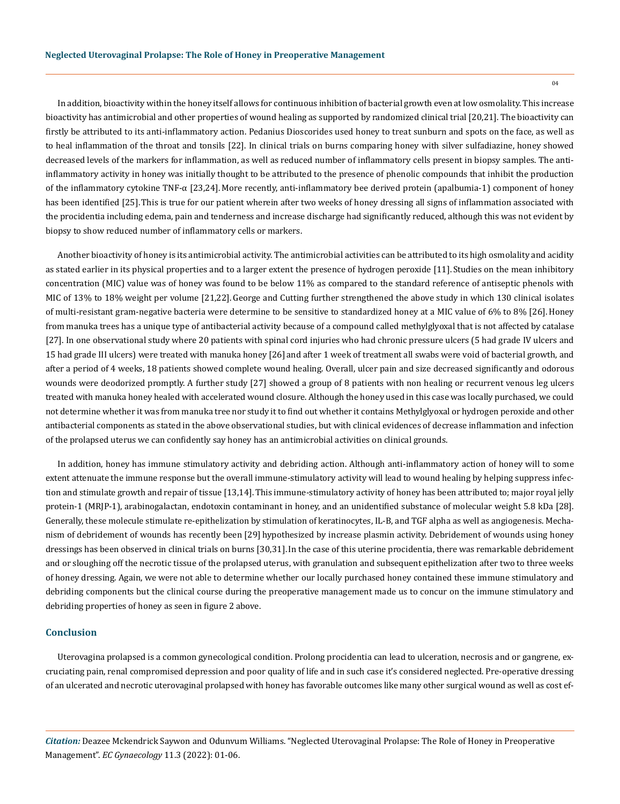In addition, bioactivity within the honey itself allows for continuous inhibition of bacterial growth even at low osmolality. This increase bioactivity has antimicrobial and other properties of wound healing as supported by randomized clinical trial [20,21]. The bioactivity can firstly be attributed to its anti-inflammatory action. Pedanius Dioscorides used honey to treat sunburn and spots on the face, as well as to heal inflammation of the throat and tonsils [22]. In clinical trials on burns comparing honey with silver sulfadiazine, honey showed decreased levels of the markers for inflammation, as well as reduced number of inflammatory cells present in biopsy samples. The antiinflammatory activity in honey was initially thought to be attributed to the presence of phenolic compounds that inhibit the production of the inflammatory cytokine TNF-α [23,24]. More recently, anti-inflammatory bee derived protein (apalbumia-1) component of honey has been identified [25].This is true for our patient wherein after two weeks of honey dressing all signs of inflammation associated with the procidentia including edema, pain and tenderness and increase discharge had significantly reduced, although this was not evident by biopsy to show reduced number of inflammatory cells or markers.

Another bioactivity of honey is its antimicrobial activity. The antimicrobial activities can be attributed to its high osmolality and acidity as stated earlier in its physical properties and to a larger extent the presence of hydrogen peroxide [11]. Studies on the mean inhibitory concentration (MIC) value was of honey was found to be below 11% as compared to the standard reference of antiseptic phenols with MIC of 13% to 18% weight per volume [21,22]. George and Cutting further strengthened the above study in which 130 clinical isolates of multi-resistant gram-negative bacteria were determine to be sensitive to standardized honey at a MIC value of 6% to 8% [26].Honey from manuka trees has a unique type of antibacterial activity because of a compound called methylglyoxal that is not affected by catalase [27]. In one observational study where 20 patients with spinal cord injuries who had chronic pressure ulcers (5 had grade IV ulcers and 15 had grade III ulcers) were treated with manuka honey [26] and after 1 week of treatment all swabs were void of bacterial growth, and after a period of 4 weeks, 18 patients showed complete wound healing. Overall, ulcer pain and size decreased significantly and odorous wounds were deodorized promptly. A further study [27] showed a group of 8 patients with non healing or recurrent venous leg ulcers treated with manuka honey healed with accelerated wound closure. Although the honey used in this case was locally purchased, we could not determine whether it was from manuka tree nor study it to find out whether it contains Methylglyoxal or hydrogen peroxide and other antibacterial components as stated in the above observational studies, but with clinical evidences of decrease inflammation and infection of the prolapsed uterus we can confidently say honey has an antimicrobial activities on clinical grounds.

In addition, honey has immune stimulatory activity and debriding action. Although anti-inflammatory action of honey will to some extent attenuate the immune response but the overall immune-stimulatory activity will lead to wound healing by helping suppress infection and stimulate growth and repair of tissue [13,14].This immune-stimulatory activity of honey has been attributed to; major royal jelly protein-1 (MRJP-1), arabinogalactan, endotoxin contaminant in honey, and an unidentified substance of molecular weight 5.8 kDa [28]. Generally, these molecule stimulate re-epithelization by stimulation of keratinocytes, IL-B, and TGF alpha as well as angiogenesis. Mechanism of debridement of wounds has recently been [29] hypothesized by increase plasmin activity. Debridement of wounds using honey dressings has been observed in clinical trials on burns [30,31].In the case of this uterine procidentia, there was remarkable debridement and or sloughing off the necrotic tissue of the prolapsed uterus, with granulation and subsequent epithelization after two to three weeks of honey dressing. Again, we were not able to determine whether our locally purchased honey contained these immune stimulatory and debriding components but the clinical course during the preoperative management made us to concur on the immune stimulatory and debriding properties of honey as seen in figure 2 above.

#### **Conclusion**

Uterovagina prolapsed is a common gynecological condition. Prolong procidentia can lead to ulceration, necrosis and or gangrene, excruciating pain, renal compromised depression and poor quality of life and in such case it's considered neglected. Pre-operative dressing of an ulcerated and necrotic uterovaginal prolapsed with honey has favorable outcomes like many other surgical wound as well as cost ef-

*Citation:* Deazee Mckendrick Saywon and Odunvum Williams. "Neglected Uterovaginal Prolapse: The Role of Honey in Preoperative Management". *EC Gynaecology* 11.3 (2022): 01-06.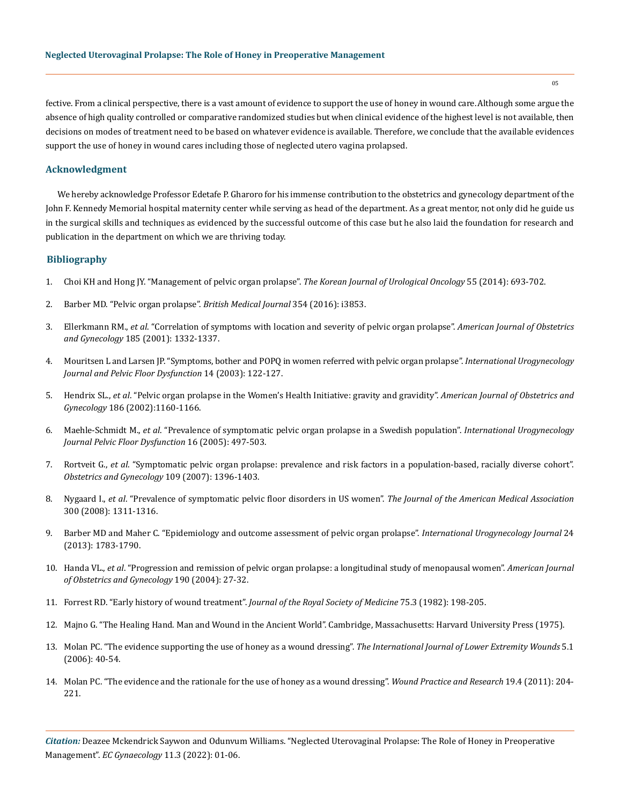fective. From a clinical perspective, there is a vast amount of evidence to support the use of honey in wound care.Although some argue the absence of high quality controlled or comparative randomized studies but when clinical evidence of the highest level is not available, then decisions on modes of treatment need to be based on whatever evidence is available. Therefore, we conclude that the available evidences support the use of honey in wound cares including those of neglected utero vagina prolapsed.

## **Acknowledgment**

We hereby acknowledge Professor Edetafe P. Gharoro for his immense contribution to the obstetrics and gynecology department of the John F. Kennedy Memorial hospital maternity center while serving as head of the department. As a great mentor, not only did he guide us in the surgical skills and techniques as evidenced by the successful outcome of this case but he also laid the foundation for research and publication in the department on which we are thriving today.

### **Bibliography**

- 1. [Choi KH and Hong JY. "Management of pelvic organ prolapse".](https://www.ncbi.nlm.nih.gov/pmc/articles/PMC4231145/) *The Korean Journal of Urological Oncology* 55 (2014): 693-702.
- 2. [Barber MD. "Pelvic organ prolapse".](https://pubmed.ncbi.nlm.nih.gov/27439423/) *British Medical Journal* 354 (2016): i3853.
- 3. Ellerkmann RM., *et al*[. "Correlation of symptoms with location and severity of pelvic organ prolapse".](https://pubmed.ncbi.nlm.nih.gov/11744905/) *American Journal of Obstetrics and Gynecology* [185 \(2001\): 1332-1337.](https://pubmed.ncbi.nlm.nih.gov/11744905/)
- 4. [Mouritsen L and Larsen JP. "Symptoms, bother and POPQ in women referred with pelvic organ prolapse".](https://pubmed.ncbi.nlm.nih.gov/12851756/) *International Urogynecology [Journal and Pelvic Floor Dysfunction](https://pubmed.ncbi.nlm.nih.gov/12851756/)* 14 (2003): 122-127.
- 5. Hendrix SL., *et al*[. "Pelvic organ prolapse in the Women's Health Initiative: gravity and gravidity".](https://pubmed.ncbi.nlm.nih.gov/12066091/) *American Journal of Obstetrics and Gynecology* [186 \(2002\):1160-1166.](https://pubmed.ncbi.nlm.nih.gov/12066091/)
- 6. Maehle-Schmidt M., *et al*[. "Prevalence of symptomatic pelvic organ prolapse in a Swedish population".](https://link.springer.com/article/10.1007/s00192-005-1326-1) *International Urogynecology [Journal Pelvic Floor Dysfunction](https://link.springer.com/article/10.1007/s00192-005-1326-1)* 16 (2005): 497-503.
- 7. Rortveit G., *et al*[. "Symptomatic pelvic organ prolapse: prevalence and risk factors in a population-based, racially diverse cohort".](https://pubmed.ncbi.nlm.nih.gov/17540813/)  *[Obstetrics and Gynecology](https://pubmed.ncbi.nlm.nih.gov/17540813/)* 109 (2007): 1396-1403.
- 8. Nygaard I., *et al*[. "Prevalence of symptomatic pelvic floor disorders in US women".](https://www.ncbi.nlm.nih.gov/pmc/articles/PMC2918416/) *The Journal of the American Medical Association* [300 \(2008\): 1311-1316.](https://www.ncbi.nlm.nih.gov/pmc/articles/PMC2918416/)
- 9. [Barber MD and Maher C. "Epidemiology and outcome assessment of pelvic organ prolapse".](https://pubmed.ncbi.nlm.nih.gov/24142054/) *International Urogynecology Journal* 24 [\(2013\): 1783-1790.](https://pubmed.ncbi.nlm.nih.gov/24142054/)
- 10. Handa VL., *et al*[. "Progression and remission of pelvic organ prolapse: a longitudinal study of menopausal women".](https://pubmed.ncbi.nlm.nih.gov/14749630/) *American Journal [of Obstetrics and Gynecology](https://pubmed.ncbi.nlm.nih.gov/14749630/)* 190 (2004): 27-32.
- 11. [Forrest RD. "Early history of wound treatment".](https://www.ncbi.nlm.nih.gov/pmc/articles/PMC1437561/) *Journal of the Royal Society of Medicine* 75.3 (1982): 198-205.
- 12. [Majno G. "The Healing Hand. Man and Wound in the Ancient World". Cambridge, Massachusetts: Harvard University Press \(1975\).](https://www.ncbi.nlm.nih.gov/pmc/articles/PMC1081878/)
- 13. [Molan PC. "The evidence supporting the use of honey as a wound dressing".](https://pubmed.ncbi.nlm.nih.gov/16543212/) *The International Journal of Lower Extremity Wounds* 5.1 [\(2006\): 40-54.](https://pubmed.ncbi.nlm.nih.gov/16543212/)
- 14. [Molan PC. "The evidence and the rationale for the use of honey as a wound dressing".](https://researchcommons.waikato.ac.nz/handle/10289/6095) *Wound Practice and Research* 19.4 (2011): 204- [221.](https://researchcommons.waikato.ac.nz/handle/10289/6095)

*Citation:* Deazee Mckendrick Saywon and Odunvum Williams. "Neglected Uterovaginal Prolapse: The Role of Honey in Preoperative Management". *EC Gynaecology* 11.3 (2022): 01-06.